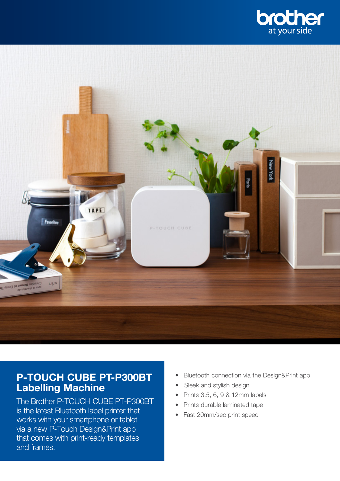



# P-TOUCH CUBE PT-P300BT Labelling Machine

The Brother P-TOUCH CUBE PT-P300BT is the latest Bluetooth label printer that works with your smartphone or tablet via a new P-Touch Design&Print app that comes with print-ready templates and frames.

- Bluetooth connection via the Design&Print app
- Sleek and stylish design
- Prints 3.5, 6, 9 & 12mm labels
- Prints durable laminated tape
- Fast 20mm/sec print speed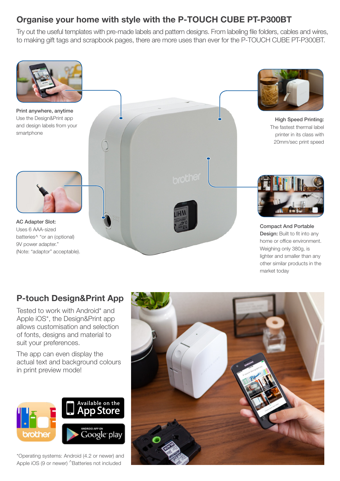### Organise your home with style with the P-TOUCH CUBE PT-P300BT

Try out the useful templates with pre-made labels and pattern designs. From labeling file folders, cables and wires, to making gift tags and scrapbook pages, there are more uses than ever for the P-TOUCH CUBE PT-P300BT.



# P-touch Design&Print App

Tested to work with Android\* and Apple iOS\*, the Design&Print app allows customisation and selection of fonts, designs and material to suit your preferences.

The app can even display the actual text and background colours in print preview mode!



\*Operating systems: Android (4.2 or newer) and Apple iOS (9 or newer) ^Batteries not included

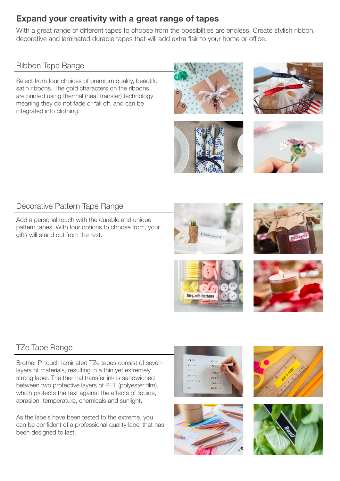### Expand your creativity with a great range of tapes

With a great range of different tapes to choose from the possiblities are endless. Create stylish ribbon, decorative and laminated durable tapes that will add extra flair to your home or office.

Ribbon Tape Range

Select from four choices of premium quality, beautiful satin ribbons. The gold characters on the ribbons are printed using thermal (heat transfer) technology meaning they do not fade or fall off, and can be integrated into clothing.









#### Decorative Pattern Tape Range

Add a personal touch with the durable and unique pattern tapes. With four options to choose from, your gifts will stand out from the rest.









# TZe Tape Range

Brother P-touch laminated TZe tapes consist of seven layers of materials, resulting in a thin yet extremely strong label. The thermal transfer ink is sandwiched between two protective layers of PET (polyester film), which protects the text against the effects of liquids, abrasion, temperature, chemicals and sunlight.

As the labels have been tested to the extreme, you can be confident of a professional quality label that has been designed to last.